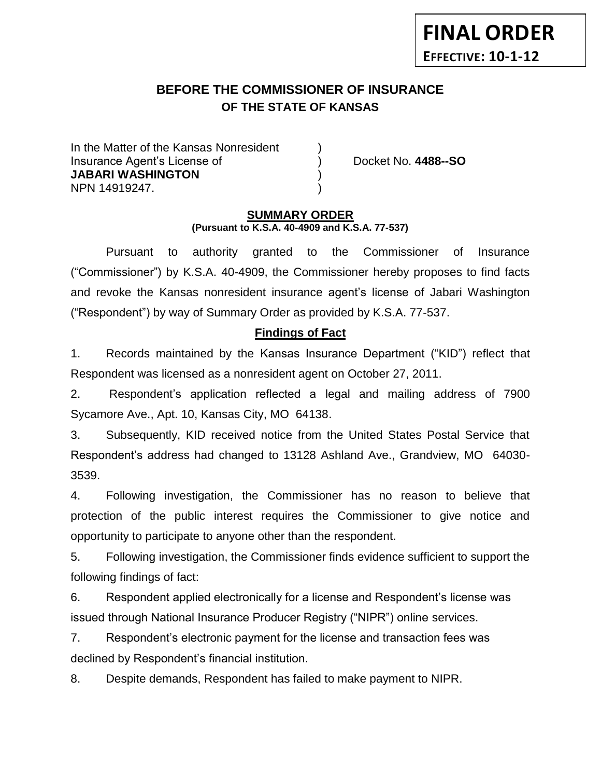# **FINAL ORDER EFFECTIVE: 10-1-12**

# **BEFORE THE COMMISSIONER OF INSURANCE OF THE STATE OF KANSAS**

In the Matter of the Kansas Nonresident Insurance Agent's License of ) Docket No. **4488--SO JABARI WASHINGTON** ) NPN 14919247. )

#### **SUMMARY ORDER (Pursuant to K.S.A. 40-4909 and K.S.A. 77-537)**

Pursuant to authority granted to the Commissioner of Insurance ("Commissioner") by K.S.A. 40-4909, the Commissioner hereby proposes to find facts and revoke the Kansas nonresident insurance agent's license of Jabari Washington ("Respondent") by way of Summary Order as provided by K.S.A. 77-537.

## **Findings of Fact**

1. Records maintained by the Kansas Insurance Department ("KID") reflect that Respondent was licensed as a nonresident agent on October 27, 2011.

2. Respondent's application reflected a legal and mailing address of 7900 Sycamore Ave., Apt. 10, Kansas City, MO 64138.

3. Subsequently, KID received notice from the United States Postal Service that Respondent's address had changed to 13128 Ashland Ave., Grandview, MO 64030- 3539.

4. Following investigation, the Commissioner has no reason to believe that protection of the public interest requires the Commissioner to give notice and opportunity to participate to anyone other than the respondent.

5. Following investigation, the Commissioner finds evidence sufficient to support the following findings of fact:

6. Respondent applied electronically for a license and Respondent's license was issued through National Insurance Producer Registry ("NIPR") online services.

7. Respondent's electronic payment for the license and transaction fees was declined by Respondent's financial institution.

8. Despite demands, Respondent has failed to make payment to NIPR.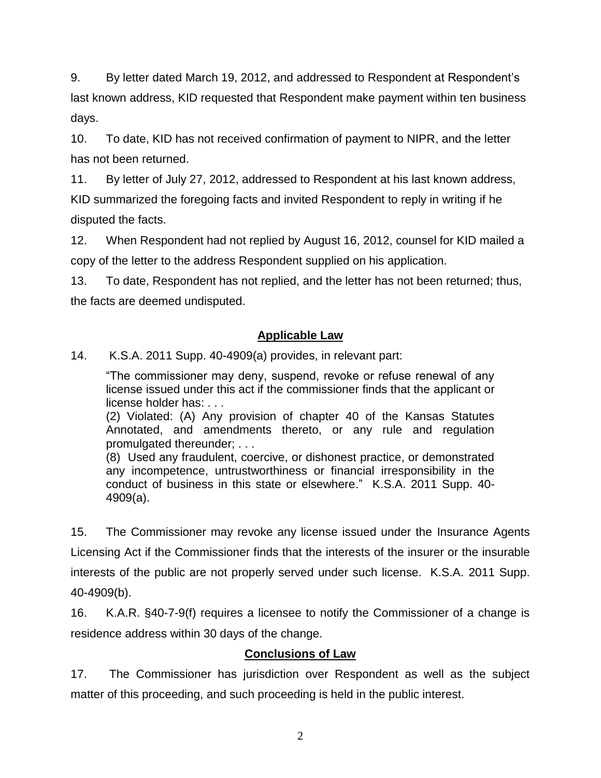9. By letter dated March 19, 2012, and addressed to Respondent at Respondent's last known address, KID requested that Respondent make payment within ten business days.

10. To date, KID has not received confirmation of payment to NIPR, and the letter has not been returned.

11. By letter of July 27, 2012, addressed to Respondent at his last known address, KID summarized the foregoing facts and invited Respondent to reply in writing if he disputed the facts.

12. When Respondent had not replied by August 16, 2012, counsel for KID mailed a copy of the letter to the address Respondent supplied on his application.

13. To date, Respondent has not replied, and the letter has not been returned; thus, the facts are deemed undisputed.

## **Applicable Law**

14. K.S.A. 2011 Supp. 40-4909(a) provides, in relevant part:

"The commissioner may deny, suspend, revoke or refuse renewal of any license issued under this act if the commissioner finds that the applicant or license holder has: . . .

(2) Violated: (A) Any provision of chapter 40 of the Kansas Statutes Annotated, and amendments thereto, or any rule and regulation promulgated thereunder; . . .

(8) Used any fraudulent, coercive, or dishonest practice, or demonstrated any incompetence, untrustworthiness or financial irresponsibility in the conduct of business in this state or elsewhere." K.S.A. 2011 Supp. 40- 4909(a).

15. The Commissioner may revoke any license issued under the Insurance Agents Licensing Act if the Commissioner finds that the interests of the insurer or the insurable interests of the public are not properly served under such license. K.S.A. 2011 Supp. 40-4909(b).

16. K.A.R. §40-7-9(f) requires a licensee to notify the Commissioner of a change is residence address within 30 days of the change.

## **Conclusions of Law**

17. The Commissioner has jurisdiction over Respondent as well as the subject matter of this proceeding, and such proceeding is held in the public interest.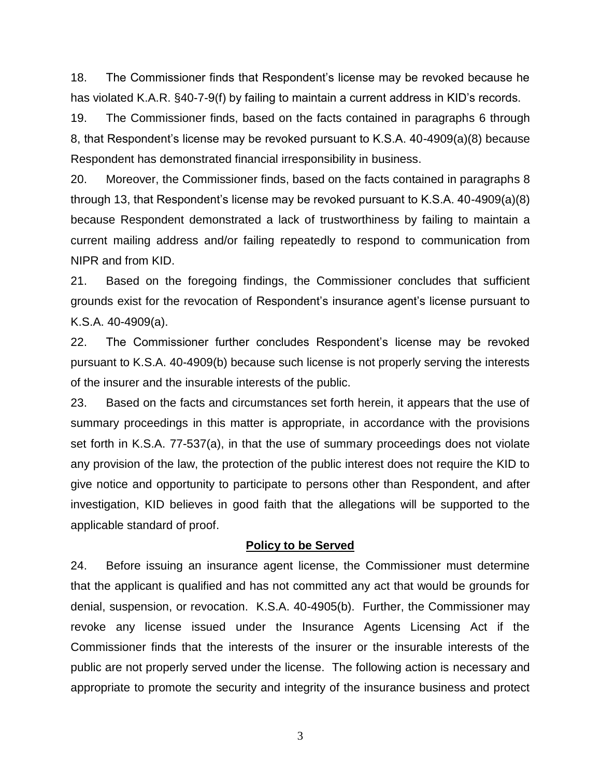18. The Commissioner finds that Respondent's license may be revoked because he has violated K.A.R. §40-7-9(f) by failing to maintain a current address in KID's records.

19. The Commissioner finds, based on the facts contained in paragraphs 6 through 8, that Respondent's license may be revoked pursuant to K.S.A. 40-4909(a)(8) because Respondent has demonstrated financial irresponsibility in business.

20. Moreover, the Commissioner finds, based on the facts contained in paragraphs 8 through 13, that Respondent's license may be revoked pursuant to K.S.A. 40-4909(a)(8) because Respondent demonstrated a lack of trustworthiness by failing to maintain a current mailing address and/or failing repeatedly to respond to communication from NIPR and from KID.

21. Based on the foregoing findings, the Commissioner concludes that sufficient grounds exist for the revocation of Respondent's insurance agent's license pursuant to K.S.A. 40-4909(a).

22. The Commissioner further concludes Respondent's license may be revoked pursuant to K.S.A. 40-4909(b) because such license is not properly serving the interests of the insurer and the insurable interests of the public.

23. Based on the facts and circumstances set forth herein, it appears that the use of summary proceedings in this matter is appropriate, in accordance with the provisions set forth in K.S.A. 77-537(a), in that the use of summary proceedings does not violate any provision of the law, the protection of the public interest does not require the KID to give notice and opportunity to participate to persons other than Respondent, and after investigation, KID believes in good faith that the allegations will be supported to the applicable standard of proof.

#### **Policy to be Served**

24. Before issuing an insurance agent license, the Commissioner must determine that the applicant is qualified and has not committed any act that would be grounds for denial, suspension, or revocation. K.S.A. 40-4905(b). Further, the Commissioner may revoke any license issued under the Insurance Agents Licensing Act if the Commissioner finds that the interests of the insurer or the insurable interests of the public are not properly served under the license. The following action is necessary and appropriate to promote the security and integrity of the insurance business and protect

3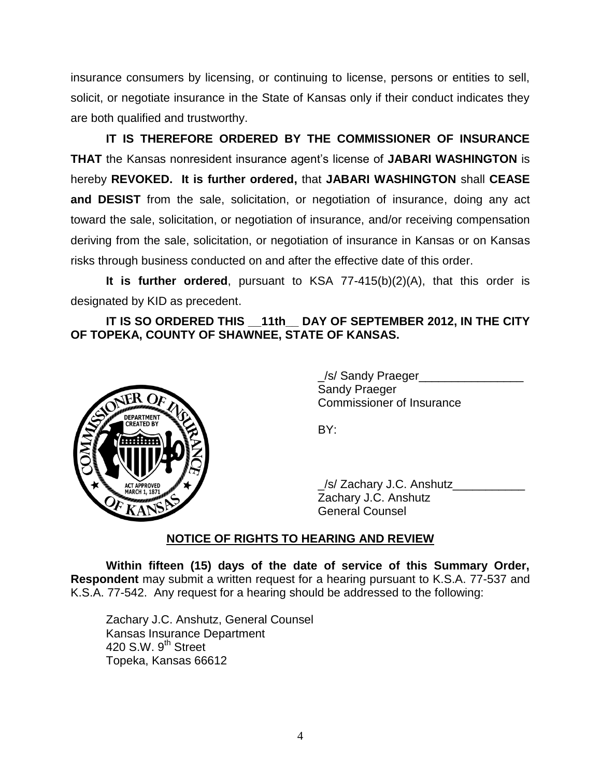insurance consumers by licensing, or continuing to license, persons or entities to sell, solicit, or negotiate insurance in the State of Kansas only if their conduct indicates they are both qualified and trustworthy.

**IT IS THEREFORE ORDERED BY THE COMMISSIONER OF INSURANCE THAT** the Kansas nonresident insurance agent's license of **JABARI WASHINGTON** is hereby **REVOKED. It is further ordered,** that **JABARI WASHINGTON** shall **CEASE and DESIST** from the sale, solicitation, or negotiation of insurance, doing any act toward the sale, solicitation, or negotiation of insurance, and/or receiving compensation deriving from the sale, solicitation, or negotiation of insurance in Kansas or on Kansas risks through business conducted on and after the effective date of this order.

**It is further ordered**, pursuant to KSA 77-415(b)(2)(A), that this order is designated by KID as precedent.

**IT IS SO ORDERED THIS \_\_11th\_\_ DAY OF SEPTEMBER 2012, IN THE CITY OF TOPEKA, COUNTY OF SHAWNEE, STATE OF KANSAS.**



\_/s/ Sandy Praeger\_\_\_\_\_\_\_\_\_\_\_\_\_\_\_\_ Sandy Praeger Commissioner of Insurance

BY:

\_/s/ Zachary J.C. Anshutz\_\_\_\_\_\_\_\_\_\_\_ Zachary J.C. Anshutz General Counsel

## **NOTICE OF RIGHTS TO HEARING AND REVIEW**

**Within fifteen (15) days of the date of service of this Summary Order, Respondent** may submit a written request for a hearing pursuant to K.S.A. 77-537 and K.S.A. 77-542. Any request for a hearing should be addressed to the following:

Zachary J.C. Anshutz, General Counsel Kansas Insurance Department 420 S.W. 9<sup>th</sup> Street Topeka, Kansas 66612